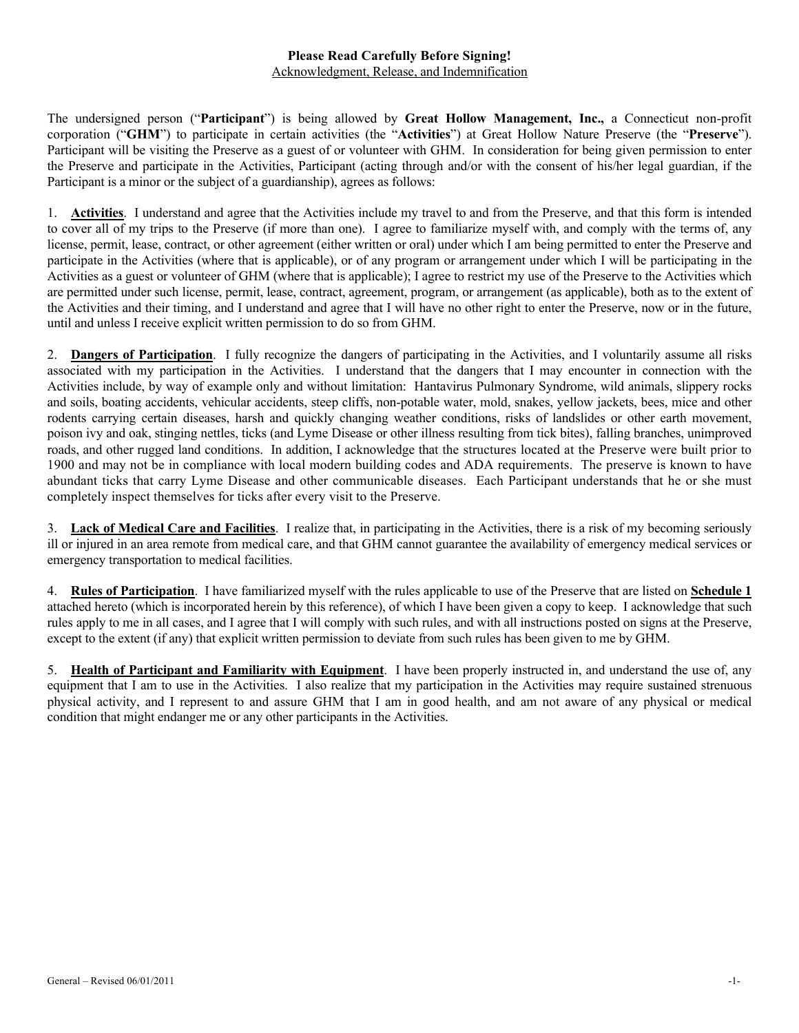### **Please Read Carefully Before Signing!** Acknowledgment, Release, and Indemnification

The undersigned person ("**Participant**") is being allowed by **Great Hollow Management, Inc.,** a Connecticut non-profit corporation ("**GHM**") to participate in certain activities (the "**Activities**") at Great Hollow Nature Preserve (the "**Preserve**"). Participant will be visiting the Preserve as a guest of or volunteer with GHM. In consideration for being given permission to enter the Preserve and participate in the Activities, Participant (acting through and/or with the consent of his/her legal guardian, if the Participant is a minor or the subject of a guardianship), agrees as follows:

1. **Activities**. I understand and agree that the Activities include my travel to and from the Preserve, and that this form is intended to cover all of my trips to the Preserve (if more than one). I agree to familiarize myself with, and comply with the terms of, any license, permit, lease, contract, or other agreement (either written or oral) under which I am being permitted to enter the Preserve and participate in the Activities (where that is applicable), or of any program or arrangement under which I will be participating in the Activities as a guest or volunteer of GHM (where that is applicable); I agree to restrict my use of the Preserve to the Activities which are permitted under such license, permit, lease, contract, agreement, program, or arrangement (as applicable), both as to the extent of the Activities and their timing, and I understand and agree that I will have no other right to enter the Preserve, now or in the future, until and unless I receive explicit written permission to do so from GHM.

2. **Dangers of Participation**. I fully recognize the dangers of participating in the Activities, and I voluntarily assume all risks associated with my participation in the Activities. I understand that the dangers that I may encounter in connection with the Activities include, by way of example only and without limitation: Hantavirus Pulmonary Syndrome, wild animals, slippery rocks and soils, boating accidents, vehicular accidents, steep cliffs, non-potable water, mold, snakes, yellow jackets, bees, mice and other rodents carrying certain diseases, harsh and quickly changing weather conditions, risks of landslides or other earth movement, poison ivy and oak, stinging nettles, ticks (and Lyme Disease or other illness resulting from tick bites), falling branches, unimproved roads, and other rugged land conditions. In addition, I acknowledge that the structures located at the Preserve were built prior to 1900 and may not be in compliance with local modern building codes and ADA requirements. The preserve is known to have abundant ticks that carry Lyme Disease and other communicable diseases. Each Participant understands that he or she must completely inspect themselves for ticks after every visit to the Preserve.

3. **Lack of Medical Care and Facilities**. I realize that, in participating in the Activities, there is a risk of my becoming seriously ill or injured in an area remote from medical care, and that GHM cannot guarantee the availability of emergency medical services or emergency transportation to medical facilities.

4. **Rules of Participation**. I have familiarized myself with the rules applicable to use of the Preserve that are listed on **Schedule 1** attached hereto (which is incorporated herein by this reference), of which I have been given a copy to keep. I acknowledge that such rules apply to me in all cases, and I agree that I will comply with such rules, and with all instructions posted on signs at the Preserve, except to the extent (if any) that explicit written permission to deviate from such rules has been given to me by GHM.

5. **Health of Participant and Familiarity with Equipment**. I have been properly instructed in, and understand the use of, any equipment that I am to use in the Activities. I also realize that my participation in the Activities may require sustained strenuous physical activity, and I represent to and assure GHM that I am in good health, and am not aware of any physical or medical condition that might endanger me or any other participants in the Activities.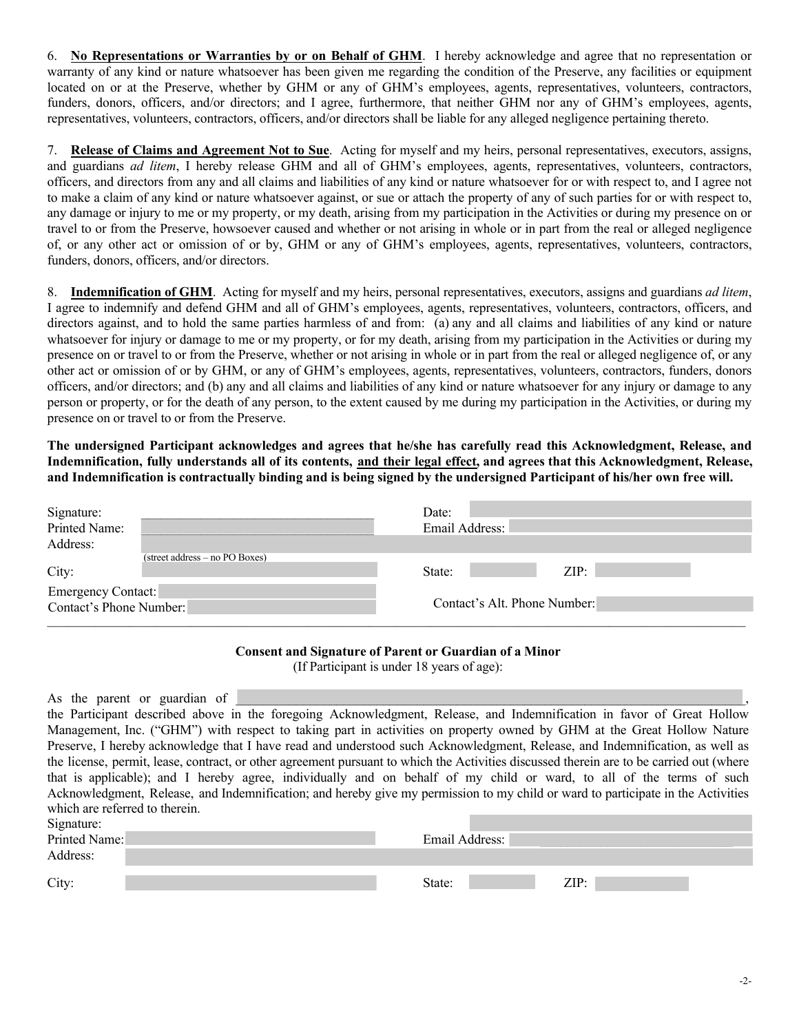6. **No Representations or Warranties by or on Behalf of GHM**. I hereby acknowledge and agree that no representation or warranty of any kind or nature whatsoever has been given me regarding the condition of the Preserve, any facilities or equipment located on or at the Preserve, whether by GHM or any of GHM's employees, agents, representatives, volunteers, contractors, funders, donors, officers, and/or directors; and I agree, furthermore, that neither GHM nor any of GHM's employees, agents, representatives, volunteers, contractors, officers, and/or directors shall be liable for any alleged negligence pertaining thereto.

7. **Release of Claims and Agreement Not to Sue**. Acting for myself and my heirs, personal representatives, executors, assigns, and guardians *ad litem*, I hereby release GHM and all of GHM's employees, agents, representatives, volunteers, contractors, officers, and directors from any and all claims and liabilities of any kind or nature whatsoever for or with respect to, and I agree not to make a claim of any kind or nature whatsoever against, or sue or attach the property of any of such parties for or with respect to, any damage or injury to me or my property, or my death, arising from my participation in the Activities or during my presence on or travel to or from the Preserve, howsoever caused and whether or not arising in whole or in part from the real or alleged negligence of, or any other act or omission of or by, GHM or any of GHM's employees, agents, representatives, volunteers, contractors, funders, donors, officers, and/or directors.

8. **Indemnification of GHM**. Acting for myself and my heirs, personal representatives, executors, assigns and guardians *ad litem*, I agree to indemnify and defend GHM and all of GHM's employees, agents, representatives, volunteers, contractors, officers, and directors against, and to hold the same parties harmless of and from: (a) any and all claims and liabilities of any kind or nature whatsoever for injury or damage to me or my property, or for my death, arising from my participation in the Activities or during my presence on or travel to or from the Preserve, whether or not arising in whole or in part from the real or alleged negligence of, or any other act or omission of or by GHM, or any of GHM's employees, agents, representatives, volunteers, contractors, funders, donors officers, and/or directors; and (b) any and all claims and liabilities of any kind or nature whatsoever for any injury or damage to any person or property, or for the death of any person, to the extent caused by me during my participation in the Activities, or during my presence on or travel to or from the Preserve.

**The undersigned Participant acknowledges and agrees that he/she has carefully read this Acknowledgment, Release, and Indemnification, fully understands all of its contents, and their legal effect, and agrees that this Acknowledgment, Release, and Indemnification is contractually binding and is being signed by the undersigned Participant of his/her own free will.**

| Signature:                     | Date:                        |
|--------------------------------|------------------------------|
| Printed Name:                  | Email Address:               |
| Address:                       |                              |
| (street address – no PO Boxes) |                              |
| City:                          | ZIP:<br>State:               |
| <b>Emergency Contact:</b>      |                              |
| Contact's Phone Number:        | Contact's Alt. Phone Number: |
|                                |                              |

### **Consent and Signature of Parent or Guardian of a Minor**

(If Participant is under 18 years of age):

| As the parent or guardian of                                                                                           |                                                                                                                                          |
|------------------------------------------------------------------------------------------------------------------------|------------------------------------------------------------------------------------------------------------------------------------------|
|                                                                                                                        | the Participant described above in the foregoing Acknowledgment, Release, and Indemnification in favor of Great Hollow                   |
| Management, Inc. ("GHM") with respect to taking part in activities on property owned by GHM at the Great Hollow Nature |                                                                                                                                          |
|                                                                                                                        | Preserve, I hereby acknowledge that I have read and understood such Acknowledgment, Release, and Indemnification, as well as             |
|                                                                                                                        | the license, permit, lease, contract, or other agreement pursuant to which the Activities discussed therein are to be carried out (where |
|                                                                                                                        | that is applicable); and I hereby agree, individually and on behalf of my child or ward, to all of the terms of such                     |
|                                                                                                                        | Acknowledgment, Release, and Indemnification; and hereby give my permission to my child or ward to participate in the Activities         |
| which are referred to therein.                                                                                         |                                                                                                                                          |
| Signature:                                                                                                             |                                                                                                                                          |
| Printed Name:                                                                                                          | Email Address:                                                                                                                           |
| Address:                                                                                                               |                                                                                                                                          |
| City:                                                                                                                  | ZIP:<br>State:                                                                                                                           |